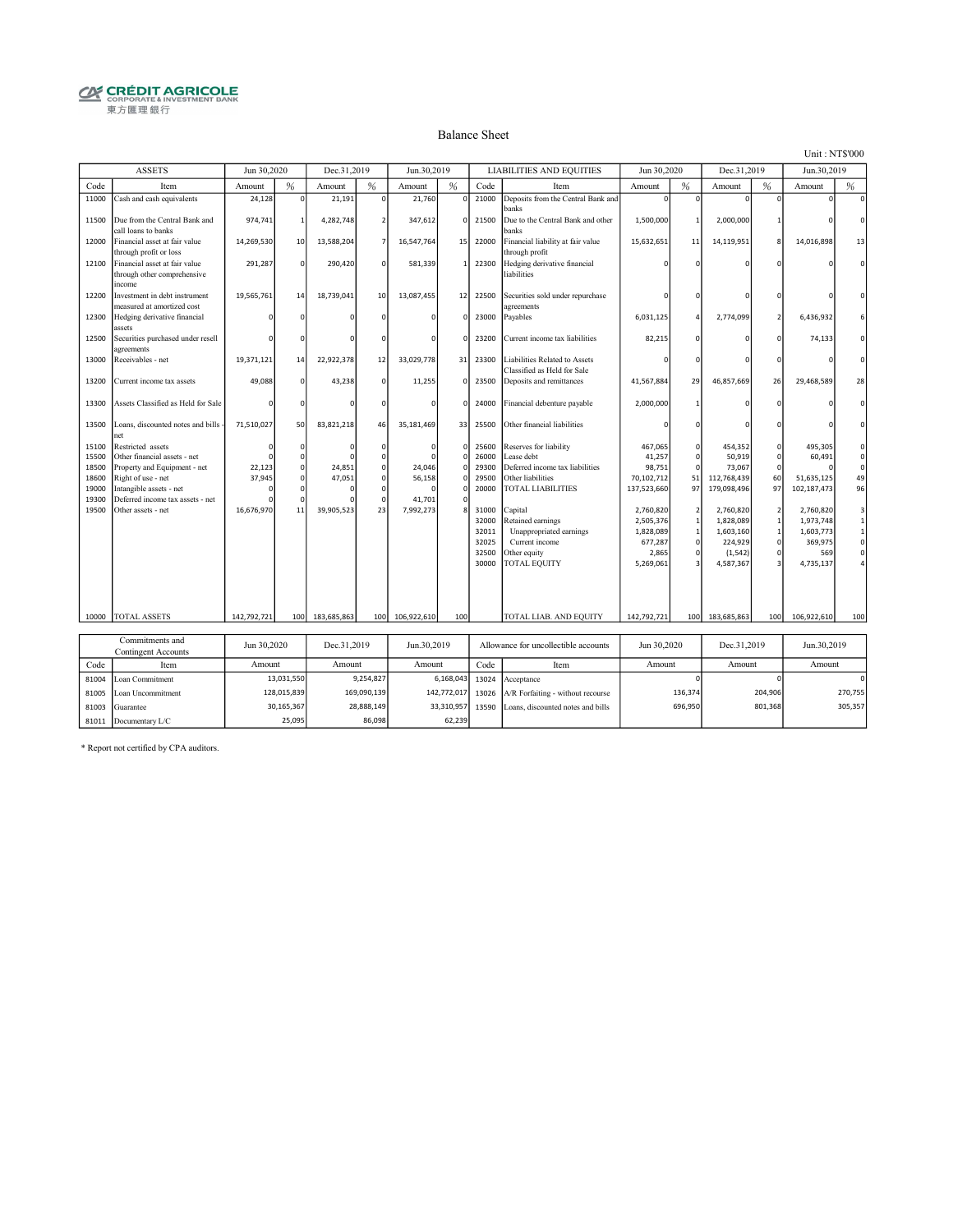# **CRÉDIT AGRICOLE**<br> **CORPORATE& INVESTMENT BANK**<br>
東方匯理銀行

#### Balance Sheet

Unit : NT\$'000

|                | <b>ASSETS</b>                                                                                                                      | Jun 30,2020 |          | Dec.31,2019 |              | Jun.30,2019 |                      |                | LIABILITIES AND EQUITIES                                     | Jun 30,2020               |                   | Dec.31,2019                |          | Jun.30,2019               |                     |
|----------------|------------------------------------------------------------------------------------------------------------------------------------|-------------|----------|-------------|--------------|-------------|----------------------|----------------|--------------------------------------------------------------|---------------------------|-------------------|----------------------------|----------|---------------------------|---------------------|
| Code           | Item                                                                                                                               | Amount      | %        | Amount      | %            | Amount      | %                    | Code           | Item                                                         | Amount                    | %                 | Amount                     | %        | Amount                    | %                   |
| 11000          | Cash and cash equivalents                                                                                                          | 24,128      | $\Omega$ | 21,191      | <sup>o</sup> | 21,760      | $\Omega$             | 21000          | Deposits from the Central Bank and<br>banks                  | $\Omega$                  | $\Omega$          | $\Omega$                   | O        | $\Omega$                  | $\mathbf{0}$        |
| 11500          | Due from the Central Bank and<br>call loans to banks                                                                               | 974,741     |          | 4,282,748   |              | 347,612     | $\Omega$             | 21500          | Due to the Central Bank and other<br>banks                   | 1,500,000                 | $\overline{1}$    | 2,000,000                  |          |                           | $\Omega$            |
| 12000          | Financial asset at fair value<br>through profit or loss                                                                            | 14,269,530  | 10       | 13,588,204  |              | 16,547,764  | 15                   | 22000          | Financial liability at fair value<br>through profit          | 15,632,651                | 11                | 14,119,951                 | 8        | 14,016,898                | 13                  |
| 12100          | Financial asset at fair value<br>through other comprehensive<br>income                                                             | 291,287     | $\Omega$ | 290,420     |              | 581,339     | $\mathbf{1}$         | 22300          | Hedging derivative financial<br>liabilities                  |                           |                   |                            |          |                           | $\Omega$            |
| 12200          | Investment in debt instrument<br>measured at amortized cost                                                                        | 19,565,761  | 14       | 18,739,041  | 10           | 13,087,455  | 12                   | 22500          | Securities sold under repurchase<br>agreements               |                           | n                 |                            |          |                           |                     |
| 12300          | Hedging derivative financial<br>assets                                                                                             |             |          |             |              |             | $\Omega$             | 23000          | Payables                                                     | 6,031,125                 | 4                 | 2,774,099                  |          | 6,436,932                 |                     |
| 12500          | Securities purchased under resell<br>agreements                                                                                    |             |          |             |              |             |                      | 23200          | Current income tax liabilities                               | 82,215                    | $\Omega$          |                            |          | 74,133                    | $\Omega$            |
| 13000          | Receivables - net                                                                                                                  | 19,371,121  | 14       | 22,922,378  | 12           | 33,029,778  | 31                   | 23300          | Liabilities Related to Assets<br>Classified as Held for Sale |                           |                   |                            |          |                           | $\Omega$            |
| 13200          | Current income tax assets                                                                                                          | 49,088      | $\Omega$ | 43,238      | $\Omega$     | 11,255      | $\Omega$             | 23500          | Deposits and remittances                                     | 41,567,884                | 29                | 46,857,669                 | 26       | 29,468,589                | 28                  |
| 13300          | Assets Classified as Held for Sale                                                                                                 |             |          |             |              |             | $\Omega$             | 24000          | Financial debenture payable                                  | 2,000,000                 |                   |                            |          |                           | $\Omega$            |
| 13500          | Loans, discounted notes and bills -<br>net                                                                                         | 71,510,027  | 50       | 83,821,218  | 46           | 35,181,469  | 33                   | 25500          | Other financial liabilities                                  |                           |                   |                            |          |                           | $\Omega$            |
| 15100          | Restricted assets                                                                                                                  | c           | n        |             |              |             | $\Omega$             | 25600          | Reserves for liability                                       | 467,065                   | 0                 | 454,352                    | 0        | 495,305                   | $\mathbf{0}$        |
| 15500          | Other financial assets - net                                                                                                       |             |          |             |              |             | $\Omega$             | 26000          | Lease debt                                                   | 41,257                    | $\Omega$          | 50,919                     | O        | 60,491                    | $\mathsf{o}\xspace$ |
| 18500          | Property and Equipment - net                                                                                                       | 22,123      |          | 24,851      |              | 24,046      | $\Omega$<br>$\Omega$ | 29300          | Deferred income tax liabilities<br>Other liabilities         | 98,751                    | $\mathbf 0$<br>51 | 73,067                     |          |                           | $\mathsf{o}\xspace$ |
| 18600          | Right of use - net<br>Intangible assets - net                                                                                      | 37,945      |          | 47.051      |              | 56,158      |                      | 29500<br>20000 | <b>TOTAL LIABILITIES</b>                                     | 70,102,712<br>137,523,660 | 97                | 112,768,439<br>179,098,496 | 60<br>97 | 51,635,125<br>102,187,473 | 49<br>96            |
| 19000<br>19300 | Deferred income tax assets - net                                                                                                   |             |          |             |              | 41,701      |                      |                |                                                              |                           |                   |                            |          |                           |                     |
| 19500          | Other assets - net                                                                                                                 | 16,676,970  | 11       | 39,905,523  | 23           | 7,992,273   |                      | 31000          | Capital                                                      | 2,760,820                 | $\overline{2}$    | 2,760,820                  |          | 2,760,820                 | 3                   |
|                |                                                                                                                                    |             |          |             |              |             |                      | 32000          | <b>Retained earnings</b>                                     | 2,505,376                 | $\,1\,$           | 1,828,089                  |          | 1,973,748                 | $\mathbf{1}$        |
|                |                                                                                                                                    |             |          |             |              |             |                      | 32011          | Unappropriated earnings                                      | 1,828,089                 | $\mathbf{1}$      | 1,603,160                  |          | 1,603,773                 | $\mathbf{1}$        |
|                |                                                                                                                                    |             |          |             |              |             |                      | 32025          | Current income                                               | 677,287                   | $\Omega$          | 224,929                    | 0        | 369,975                   | $\mathsf{o}$        |
|                |                                                                                                                                    |             |          |             |              |             |                      | 32500          | Other equity                                                 | 2,865                     | $\Omega$          | (1, 542)                   | $\Omega$ | 569                       | $\mathsf{o}$        |
|                |                                                                                                                                    |             |          |             |              |             |                      | 30000          | <b>FOTAL EQUITY</b>                                          | 5,269,061                 |                   | 4,587,367                  |          | 4,735,137                 |                     |
|                |                                                                                                                                    |             |          |             |              |             |                      |                |                                                              |                           |                   |                            |          |                           |                     |
| 10000          | <b>TOTAL ASSETS</b>                                                                                                                | 142,792,721 | 100      | 183,685,863 | 100          | 106,922,610 | 100                  |                | TOTAL LIAB. AND EQUITY                                       | 142,792,721               | 100               | 183,685,863                | 100      | 106,922,610               | 100                 |
|                |                                                                                                                                    |             |          |             |              |             |                      |                |                                                              |                           |                   |                            |          |                           |                     |
|                |                                                                                                                                    |             |          |             |              |             |                      |                |                                                              |                           |                   |                            |          |                           |                     |
|                | Commitments and<br>Jun 30,2020<br>Jun.30,2019<br>Allowance for uncollectible accounts<br>Jun 30,2020<br>Dec.31,2019<br>Dec.31,2019 |             |          |             | Jun.30,2019  |             |                      |                |                                                              |                           |                   |                            |          |                           |                     |
|                | <b>Contingent Accounts</b>                                                                                                         |             |          |             |              |             |                      |                |                                                              |                           |                   |                            |          |                           |                     |

|       | Contingent Accounts     | JUILJULLULU | DUV, J1, ZV1J | JUILJV.4017 |      | Апомансе тог апсонсеноте ассоцииз                  | JUILJULLULU | DUV, J1, ZV1, J | $J^{\text{UL}}_{\text{UL}}$ $J^{\text{UL}}_{\text{UL}}$ |
|-------|-------------------------|-------------|---------------|-------------|------|----------------------------------------------------|-------------|-----------------|---------------------------------------------------------|
| Code  | Item                    | Amount      | Amount        | Amount      | Code | Item                                               | Amount      | Amount          | Amount                                                  |
|       | 81004 Loan Commitment   | 13.031.550  | 9.254.827     |             |      | $6,168,043$ 13024 Acceptance                       |             |                 |                                                         |
|       | 81005 Loan Uncommitment | 128.015.839 | 169.090.139   | 142.772.017 |      | 13026 $A/R$ Forfaiting - without recourse          | 136.374     | 204.906         | 270.755                                                 |
| 81003 | Guarantee               | 30,165,367  | 28,888,149    |             |      | 33,310,957 13590 Loans, discounted notes and bills | 696.950     | 801.368         | 305.357                                                 |
|       | 81011 Documentary L/C   | 25,095      | 86,098        | 62,239      |      |                                                    |             |                 |                                                         |

\* Report not certified by CPA auditors.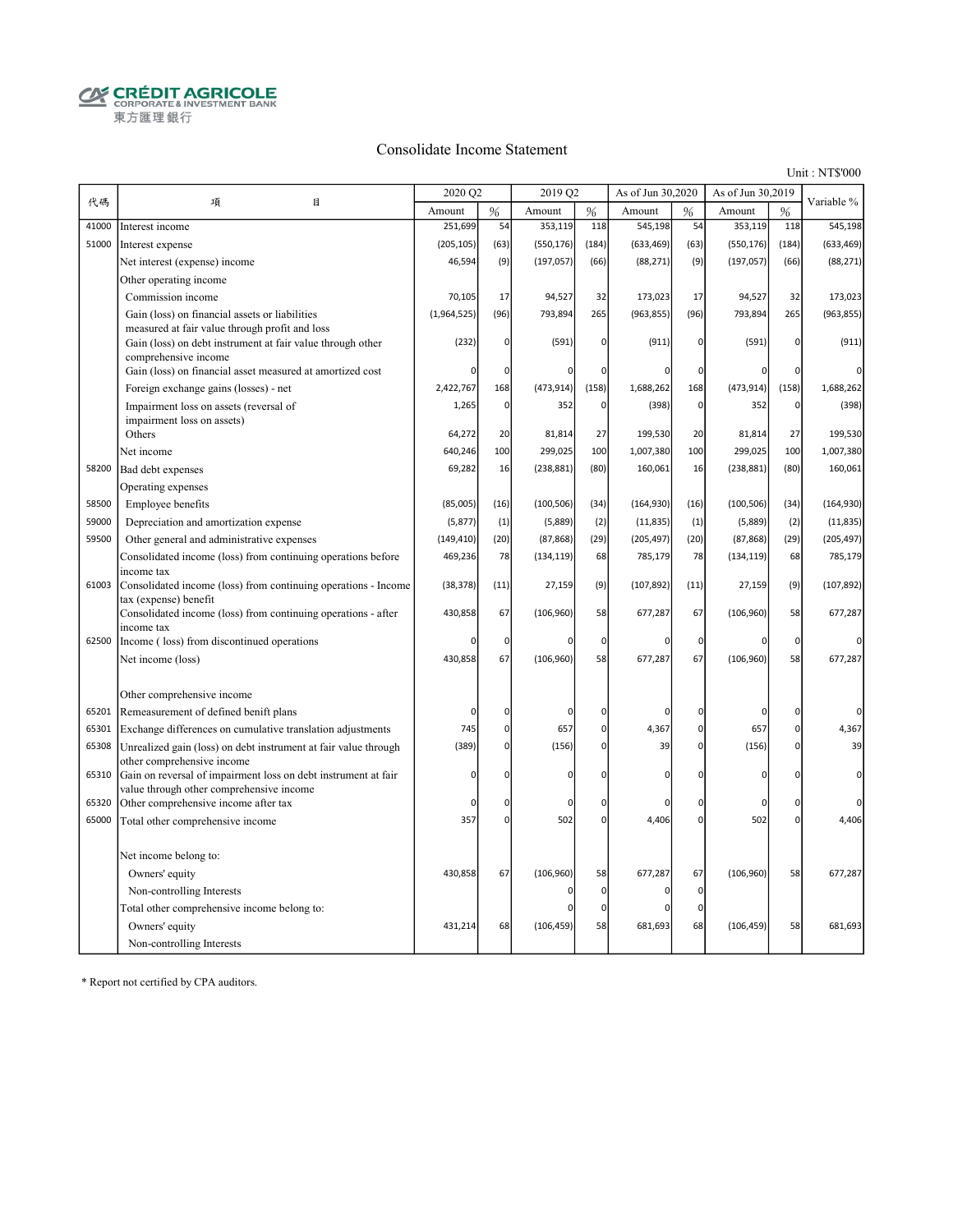$\begin{array}{ll}\begin{array}{ll}\mathbf{Q} & \mathbf{C}\mathbf{R}\mathbf{\acute{E}}\mathbf{D}\mathbf{I}\mathbf{T}\mathbf{A}\mathbf{G}\mathbf{R}\mathbf{I}\mathbf{C}\mathbf{O}\mathbf{L}\mathbf{E}\\\mathbf{C}\mathbf{R}\mathbf{P}\mathbf{O}\mathbf{R}\mathbf{A}\mathbf{T}\mathbf{E}\&\mathbf{I}\mathbf{N}\mathbf{V}\mathbf{E}\mathbf{S}\mathbf{T}\mathbf{M}\mathbf{E}\mathbf{N}\mathbf{T}\mathbf{B}\mathbf{A}\mathbf{N}\mathbf{K}\end{array}\end{array}$ 東方匯理銀行

#### Consolidate Income Statement

Unit : NT\$'000

|       |                                                                                                              | 2020 Q2     |             | 2019 Q2    |              | As of Jun 30,2020 |               | As of Jun 30,2019 |                | Variable %     |
|-------|--------------------------------------------------------------------------------------------------------------|-------------|-------------|------------|--------------|-------------------|---------------|-------------------|----------------|----------------|
| 代碼    | 項<br>目                                                                                                       | Amount      | %           | Amount     | %            | Amount            | $\frac{0}{6}$ | Amount            | $\frac{9}{6}$  |                |
| 41000 | Interest income                                                                                              | 251,699     | 54          | 353,119    | 118          | 545,198           | 54            | 353,119           | 118            | 545,198        |
| 51000 | Interest expense                                                                                             | (205, 105)  | (63)        | (550, 176) | (184)        | (633, 469)        | (63)          | (550, 176)        | (184)          | (633, 469)     |
|       | Net interest (expense) income                                                                                | 46,594      | (9)         | (197, 057) | (66)         | (88, 271)         | (9)           | (197, 057)        | (66)           | (88, 271)      |
|       | Other operating income                                                                                       |             |             |            |              |                   |               |                   |                |                |
|       | Commission income                                                                                            | 70,105      | 17          | 94,527     | 32           | 173,023           | 17            | 94,527            | 32             | 173,023        |
|       | Gain (loss) on financial assets or liabilities                                                               | (1,964,525) | (96)        | 793,894    | 265          | (963, 855)        | (96)          | 793,894           | 265            | (963, 855)     |
|       | measured at fair value through profit and loss<br>Gain (loss) on debt instrument at fair value through other | (232)       | 0           | (591)      | 0            | (911)             | $\mathbf 0$   | (591)             | $\overline{0}$ | (911)          |
|       | comprehensive income                                                                                         |             |             |            |              |                   |               |                   |                |                |
|       | Gain (loss) on financial asset measured at amortized cost                                                    | 0           | $\mathbf 0$ |            | 0            | 0                 | $\mathbf 0$   | C                 | $\overline{0}$ | $\Omega$       |
|       | Foreign exchange gains (losses) - net                                                                        | 2,422,767   | 168         | (473, 914) | (158)        | 1,688,262         | 168           | (473, 914)        | (158)          | 1,688,262      |
|       | Impairment loss on assets (reversal of                                                                       | 1,265       | 0           | 352        | $\Omega$     | (398)             | $\mathbf 0$   | 352               | $\overline{0}$ | (398)          |
|       | impairment loss on assets)                                                                                   |             |             |            |              |                   |               |                   |                |                |
|       | Others                                                                                                       | 64,272      | 20          | 81,814     | 27           | 199,530           | 20            | 81,814            | 27             | 199,530        |
|       | Net income                                                                                                   | 640,246     | 100         | 299,025    | 100          | 1,007,380         | 100           | 299,025           | 100            | 1,007,380      |
| 58200 | Bad debt expenses                                                                                            | 69,282      | 16          | (238, 881) | (80)         | 160,061           | 16            | (238, 881)        | (80)           | 160,061        |
|       | Operating expenses                                                                                           |             |             |            |              |                   |               |                   |                |                |
| 58500 | Employee benefits                                                                                            | (85,005)    | (16)        | (100, 506) | (34)         | (164, 930)        | (16)          | (100, 506)        | (34)           | (164, 930)     |
| 59000 | Depreciation and amortization expense                                                                        | (5, 877)    | (1)         | (5,889)    | (2)          | (11, 835)         | (1)           | (5,889)           | (2)            | (11, 835)      |
| 59500 | Other general and administrative expenses                                                                    | (149, 410)  | (20)        | (87, 868)  | (29)         | (205, 497)        | (20)          | (87, 868)         | (29)           | (205, 497)     |
|       | Consolidated income (loss) from continuing operations before<br>income tax                                   | 469,236     | 78          | (134, 119) | 68           | 785,179           | 78            | (134, 119)        | 68             | 785,179        |
| 61003 | Consolidated income (loss) from continuing operations - Income<br>tax (expense) benefit                      | (38, 378)   | (11)        | 27,159     | (9)          | (107, 892)        | (11)          | 27,159            | (9)            | (107, 892)     |
|       | Consolidated income (loss) from continuing operations - after<br>income tax                                  | 430,858     | 67          | (106, 960) | 58           | 677,287           | 67            | (106, 960)        | 58             | 677,287        |
| 62500 | Income (loss) from discontinued operations                                                                   | 0           | $\mathbf 0$ | n          | 0            | 0                 | 0             | $\sqrt{2}$        | $\overline{0}$ | O              |
|       | Net income (loss)                                                                                            | 430,858     | 67          | (106, 960) | 58           | 677,287           | 67            | (106, 960)        | 58             | 677,287        |
|       |                                                                                                              |             |             |            |              |                   |               |                   |                |                |
|       | Other comprehensive income                                                                                   |             |             |            |              |                   |               |                   |                |                |
| 65201 | Remeasurement of defined benift plans                                                                        | 0           | 0           | 0          | 0            | 0                 | $\Omega$      | C                 | $\Omega$       | $\overline{0}$ |
| 65301 | Exchange differences on cumulative translation adjustments                                                   | 745         | $\pmb{0}$   | 657        | $\mathbf{0}$ | 4,367             | $\mathbf 0$   | 657               | $\overline{0}$ | 4,367          |
| 65308 | Unrealized gain (loss) on debt instrument at fair value through<br>other comprehensive income                | (389)       | 0           | (156)      | $\mathbf{0}$ | 39                | $\Omega$      | (156)             | $\Omega$       | 39             |
| 65310 | Gain on reversal of impairment loss on debt instrument at fair                                               | $\mathbf 0$ | O           | n          | 0            | 0                 | $\Omega$      | $\sqrt{2}$        | O              | 0              |
|       | value through other comprehensive income                                                                     |             |             |            |              |                   |               |                   |                |                |
| 65320 | Other comprehensive income after tax                                                                         | 0           | 0           | n          | $\mathbf{0}$ | 0                 | $\Omega$      | $\Omega$          | $\overline{0}$ | $\Omega$       |
| 65000 | Total other comprehensive income                                                                             | 357         | 0           | 502        | ٥l           | 4,406             | $\mathbf 0$   | 502               | $\overline{0}$ | 4,406          |
|       | Net income belong to:                                                                                        |             |             |            |              |                   |               |                   |                |                |
|       | Owners' equity                                                                                               | 430,858     | 67          | (106, 960) | 58           | 677,287           | 67            | (106, 960)        | 58             | 677,287        |
|       | Non-controlling Interests                                                                                    |             |             |            | 0            | 0                 | 0             |                   |                |                |
|       | Total other comprehensive income belong to:                                                                  |             |             |            | 0            | 0                 | $\Omega$      |                   |                |                |
|       | Owners' equity                                                                                               | 431,214     | 68          | (106, 459) | 58           | 681,693           | 68            | (106, 459)        | 58             | 681,693        |
|       | Non-controlling Interests                                                                                    |             |             |            |              |                   |               |                   |                |                |

\* Report not certified by CPA auditors.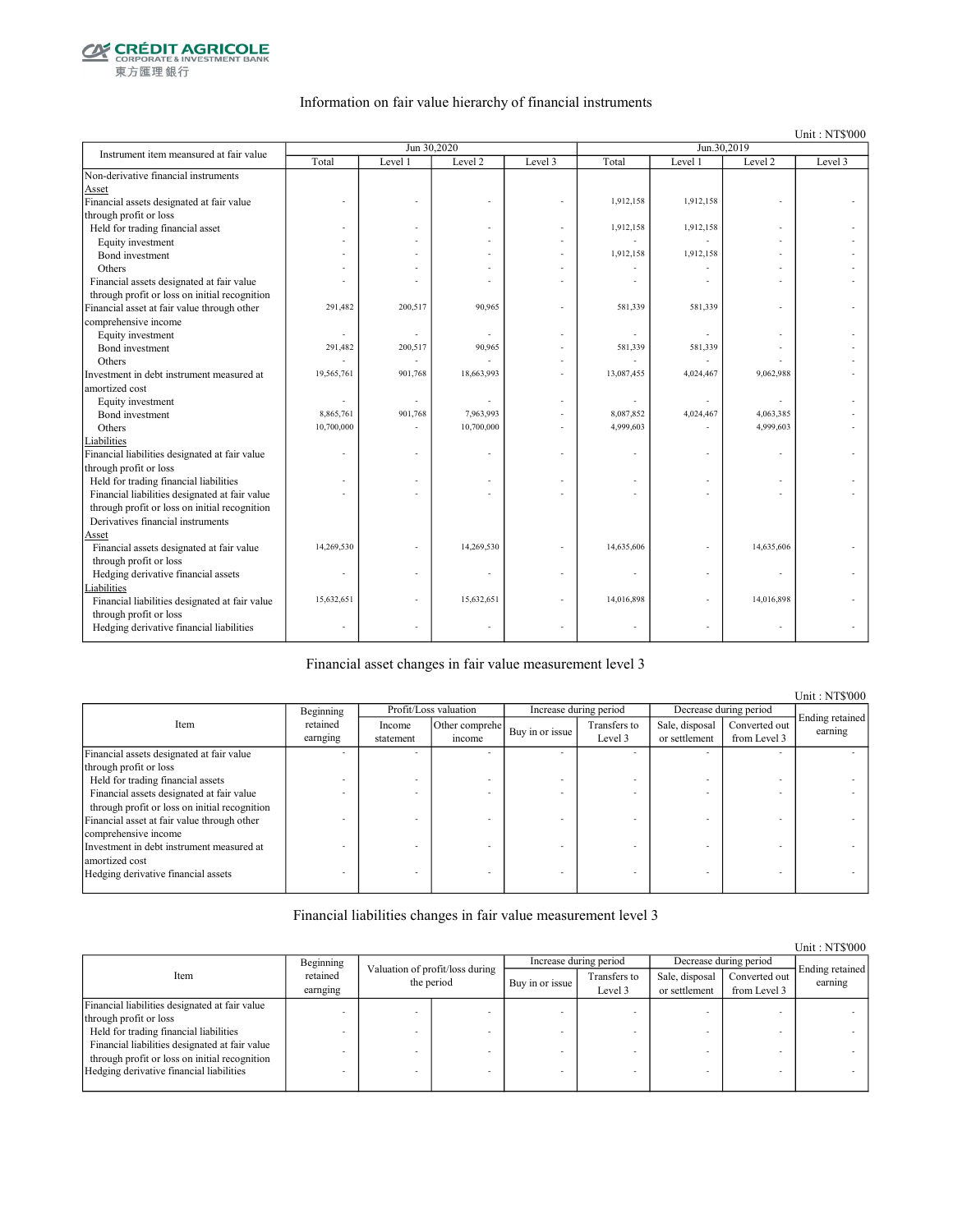

東方匯理銀行

#### Information on fair value hierarchy of financial instruments

Unit : NT\$'000

| Instrument item meansured at fair value        |            | Jun 30,2020 |            |         |            | Jun.30,2019 |            |         |
|------------------------------------------------|------------|-------------|------------|---------|------------|-------------|------------|---------|
|                                                | Total      | Level 1     | Level 2    | Level 3 | Total      | Level 1     | Level 2    | Level 3 |
| Non-derivative financial instruments           |            |             |            |         |            |             |            |         |
| Asset                                          |            |             |            |         |            |             |            |         |
| Financial assets designated at fair value      |            |             |            |         | 1,912,158  | 1,912,158   |            |         |
| through profit or loss                         |            |             |            |         |            |             |            |         |
| Held for trading financial asset               |            |             |            |         | 1,912,158  | 1,912,158   |            |         |
| Equity investment                              |            |             |            |         |            |             |            |         |
| Bond investment                                |            |             |            |         | 1,912,158  | 1.912.158   |            |         |
| Others                                         |            |             |            |         |            |             |            |         |
| Financial assets designated at fair value      |            |             |            |         |            |             |            |         |
| through profit or loss on initial recognition  |            |             |            |         |            |             |            |         |
| Financial asset at fair value through other    | 291,482    | 200,517     | 90,965     |         | 581,339    | 581,339     |            |         |
| comprehensive income                           |            |             |            |         |            |             |            |         |
| Equity investment                              | ä,         |             | ٠          |         |            |             |            |         |
| Bond investment                                | 291,482    | 200,517     | 90,965     |         | 581,339    | 581,339     |            |         |
| Others                                         |            |             |            |         |            |             |            |         |
| Investment in debt instrument measured at      | 19,565,761 | 901,768     | 18,663,993 |         | 13,087,455 | 4,024,467   | 9,062,988  |         |
| amortized cost                                 |            |             |            |         |            |             |            |         |
| Equity investment                              |            |             |            |         |            |             |            |         |
| Bond investment                                | 8,865,761  | 901,768     | 7,963,993  |         | 8,087,852  | 4,024,467   | 4,063,385  |         |
| Others                                         | 10,700,000 |             | 10,700,000 |         | 4,999,603  |             | 4,999,603  |         |
| Liabilities                                    |            |             |            |         |            |             |            |         |
| Financial liabilities designated at fair value |            |             |            |         |            |             |            |         |
| through profit or loss                         |            |             |            |         |            |             |            |         |
| Held for trading financial liabilities         |            |             |            |         |            |             |            |         |
| Financial liabilities designated at fair value |            |             |            |         |            |             |            |         |
| through profit or loss on initial recognition  |            |             |            |         |            |             |            |         |
| Derivatives financial instruments              |            |             |            |         |            |             |            |         |
| Asset                                          |            |             |            |         |            |             |            |         |
| Financial assets designated at fair value      | 14,269,530 |             | 14,269,530 |         | 14,635,606 |             | 14,635,606 |         |
| through profit or loss                         |            |             |            |         |            |             |            |         |
| Hedging derivative financial assets            |            |             |            |         |            |             |            |         |
| Liabilities                                    |            |             |            |         |            |             |            |         |
| Financial liabilities designated at fair value | 15,632,651 |             | 15,632,651 |         | 14,016,898 |             | 14,016,898 |         |
| through profit or loss                         |            |             |            |         |            |             |            |         |
| Hedging derivative financial liabilities       |            |             |            |         |            |             | ÷          |         |
|                                                |            |             |            |         |            |             |            |         |

Financial asset changes in fair value measurement level 3

Income statement Other comprehe  $\begin{array}{c|c}\n\text{er complete} \\
\text{if the same line} \\
\text{if the same line} \\
\end{array}$ Level 3 Sale, disposal or settlement Converted out from Level 3 Financial assets designated at fair value through profit or loss - - - - - - - - Held for trading financial assets  $\blacksquare$ <br>Financial assets designated at fair value Financial assets designated at fair value through profit or loss on initial recognition - - - - - - - - Financial asset at fair value through other comprehensive income - - - - - - - - Investment in debt instrument measured at amortized cost - - - - - - - - Hedging derivative financial assets Item Profit/Loss valuation Increase during period Decrease during period Ending retained earning Beginning retained earnging

Financial liabilities changes in fair value measurement level 3

|                                                |                                    |  |                                 |                 |                         |                                 |                               | Unit: NT\$000              |
|------------------------------------------------|------------------------------------|--|---------------------------------|-----------------|-------------------------|---------------------------------|-------------------------------|----------------------------|
|                                                | Beginning                          |  | Valuation of profit/loss during |                 | Increase during period  |                                 | Decrease during period        |                            |
| Item                                           | retained<br>the period<br>earnging |  |                                 | Buy in or issue | Transfers to<br>Level 3 | Sale, disposal<br>or settlement | Converted out<br>from Level 3 | Ending retained<br>earning |
| Financial liabilities designated at fair value |                                    |  |                                 |                 |                         |                                 |                               |                            |
| through profit or loss                         |                                    |  |                                 |                 |                         |                                 |                               |                            |
| Held for trading financial liabilities         |                                    |  |                                 |                 |                         |                                 |                               |                            |
| Financial liabilities designated at fair value |                                    |  |                                 |                 |                         |                                 |                               |                            |
| through profit or loss on initial recognition  |                                    |  |                                 |                 |                         |                                 |                               |                            |
| Hedging derivative financial liabilities       |                                    |  |                                 |                 |                         |                                 | -                             |                            |
|                                                |                                    |  |                                 |                 |                         |                                 |                               |                            |

Unit : NT\$'000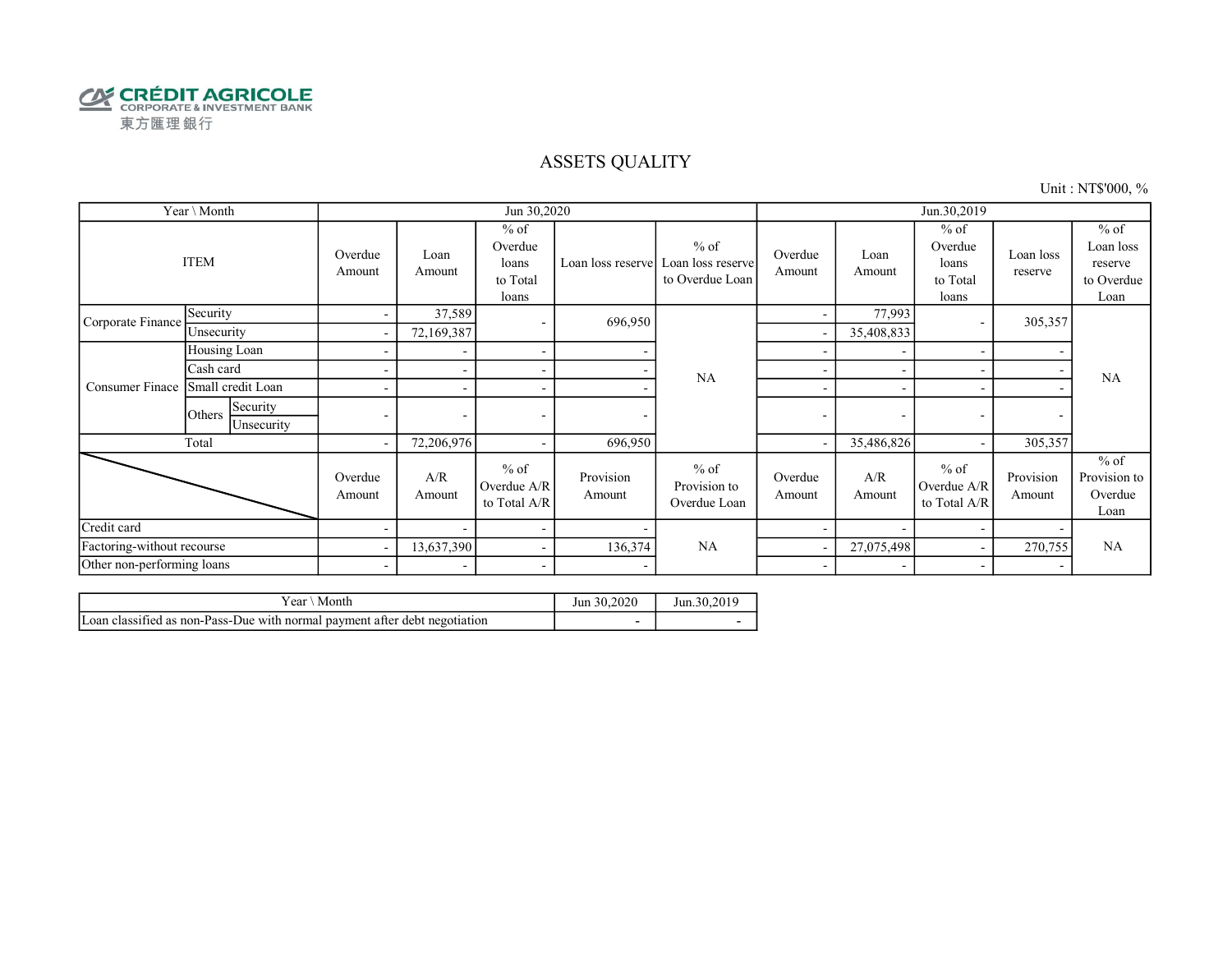

### ASSETS QUALITY

Unit : NT\$'000, %

|                            | Year \ Month                     |                          |                          | Jun 30,2020                                     |                          |                                                |                          |                          | Jun.30,2019                                     |                          |                                                      |
|----------------------------|----------------------------------|--------------------------|--------------------------|-------------------------------------------------|--------------------------|------------------------------------------------|--------------------------|--------------------------|-------------------------------------------------|--------------------------|------------------------------------------------------|
|                            | <b>ITEM</b>                      | Overdue<br>Amount        | Loan<br>Amount           | $%$ of<br>Overdue<br>loans<br>to Total<br>loans | Loan loss reserve        | $%$ of<br>Loan loss reserve<br>to Overdue Loan | Overdue<br>Amount        | Loan<br>Amount           | $%$ of<br>Overdue<br>loans<br>to Total<br>loans | Loan loss<br>reserve     | $%$ of<br>Loan loss<br>reserve<br>to Overdue<br>Loan |
| Corporate Finance          | Security                         | $\sim$                   | 37,589                   | $\overline{\phantom{a}}$                        | 696,950                  |                                                |                          | 77,993                   |                                                 | 305,357                  |                                                      |
|                            | Unsecurity                       | $\overline{\phantom{a}}$ | 72,169,387               |                                                 |                          |                                                |                          | 35,408,833               |                                                 |                          |                                                      |
|                            | Housing Loan                     | ۰                        |                          | $\overline{\phantom{a}}$                        |                          |                                                |                          |                          |                                                 |                          |                                                      |
|                            | Cash card                        |                          |                          | $\overline{\phantom{a}}$                        |                          | <b>NA</b>                                      |                          |                          |                                                 | <b>NA</b>                |                                                      |
| Consumer Finace            | Small credit Loan                |                          | $\overline{\phantom{a}}$ | $\overline{\phantom{a}}$                        |                          |                                                | $\overline{\phantom{a}}$ |                          |                                                 |                          |                                                      |
|                            | Security<br>Others<br>Unsecurity | $\overline{\phantom{0}}$ | $\overline{\phantom{a}}$ | $\overline{\phantom{a}}$                        | ٠                        |                                                | $\overline{\phantom{a}}$ | $\overline{\phantom{a}}$ | $\overline{\phantom{0}}$                        | $\overline{\phantom{a}}$ |                                                      |
|                            | Total                            | $\overline{\phantom{a}}$ | 72,206,976               | $\overline{\phantom{a}}$                        | 696,950                  |                                                |                          | 35,486,826               |                                                 | 305,357                  |                                                      |
|                            |                                  | Overdue<br>Amount        | A/R<br>Amount            | $%$ of<br>Overdue A/R<br>to Total A/R           | Provision<br>Amount      | $%$ of<br>Provision to<br>Overdue Loan         | Overdue<br>Amount        | A/R<br>Amount            | $%$ of<br>Overdue A/R<br>to Total A/R           | Provision<br>Amount      | $%$ of<br>Provision to<br>Overdue<br>Loan            |
| Credit card                |                                  |                          | $\overline{\phantom{0}}$ | $\overline{\phantom{a}}$                        |                          |                                                |                          |                          |                                                 |                          |                                                      |
| Factoring-without recourse |                                  | $\sim$                   | 13,637,390               | $\sim$                                          | 136,374                  | NA                                             |                          | 27,075,498               |                                                 | 270,755                  | <b>NA</b>                                            |
| Other non-performing loans |                                  | $\sim$                   | $\overline{\phantom{a}}$ | $\overline{\phantom{a}}$                        | $\overline{\phantom{0}}$ |                                                | $\overline{\phantom{a}}$ | $\overline{\phantom{a}}$ |                                                 | $\overline{\phantom{a}}$ |                                                      |

| r ear<br>Month                                                                       | 30.2020<br>Jun | Jun.30.2019 |
|--------------------------------------------------------------------------------------|----------------|-------------|
| $\sim$<br>Loan classified as non-Pass-Due with normal payment after debt negotiation |                |             |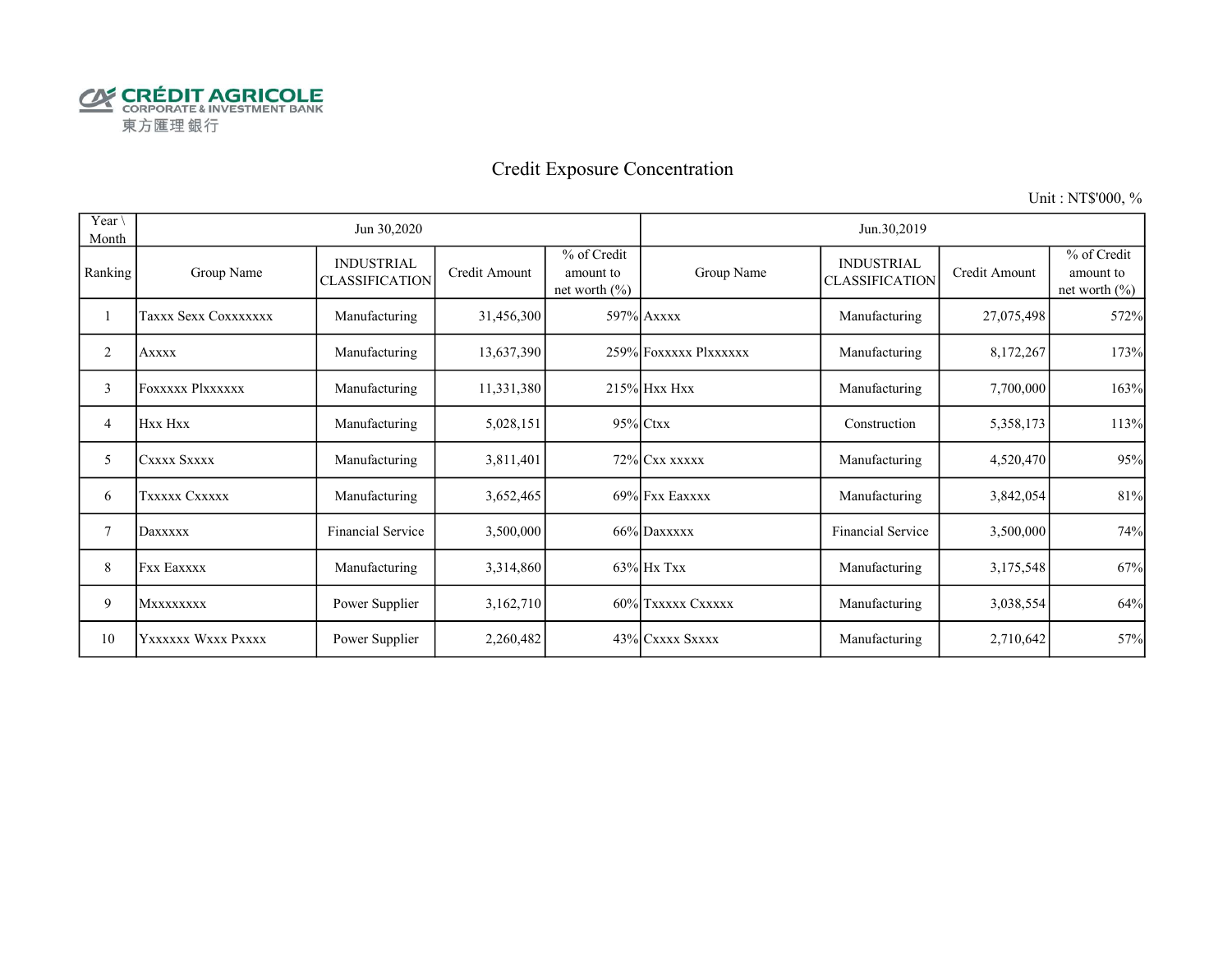

# Credit Exposure Concentration

Unit : NT\$'000, %

| Year \<br>Month |                         | Jun 30,2020                                |               |                                               |                       | Jun.30,2019                                |               |                                               |
|-----------------|-------------------------|--------------------------------------------|---------------|-----------------------------------------------|-----------------------|--------------------------------------------|---------------|-----------------------------------------------|
| Ranking         | Group Name              | <b>INDUSTRIAL</b><br><b>CLASSIFICATION</b> | Credit Amount | % of Credit<br>amount to<br>net worth $(\% )$ | Group Name            | <b>INDUSTRIAL</b><br><b>CLASSIFICATION</b> | Credit Amount | % of Credit<br>amount to<br>net worth $(\% )$ |
|                 | Taxxx Sexx Coxxxxxxx    | Manufacturing                              | 31,456,300    |                                               | 597% Axxxx            | Manufacturing                              | 27,075,498    | 572%                                          |
| 2               | <b>Axxxx</b>            | Manufacturing                              | 13,637,390    |                                               | 259% FOXXXXX PlXXXXXX | Manufacturing                              | 8,172,267     | 173%                                          |
| 3               | <b>Foxxxxx Plxxxxxx</b> | Manufacturing                              | 11,331,380    |                                               | 215% Hxx Hxx          | Manufacturing                              | 7,700,000     | 163%                                          |
| 4               | Hxx Hxx                 | Manufacturing                              | 5,028,151     |                                               | 95% Ctxx              | Construction                               | 5,358,173     | 113%                                          |
| 5               | CXXXX SXXXX             | Manufacturing                              | 3,811,401     |                                               | 72% Cxx xxxxx         | Manufacturing                              | 4,520,470     | 95%                                           |
| 6               | TXXXXX CXXXXX           | Manufacturing                              | 3,652,465     |                                               | 69% Fxx Eaxxxx        | Manufacturing                              | 3,842,054     | 81%                                           |
| 7               | Daxxxxx                 | <b>Financial Service</b>                   | 3,500,000     |                                               | 66% Daxxxxx           | <b>Financial Service</b>                   | 3,500,000     | 74%                                           |
| 8               | <b>Fxx Eaxxxx</b>       | Manufacturing                              | 3,314,860     |                                               | $63\%$ Hx Txx         | Manufacturing                              | 3,175,548     | 67%                                           |
| 9               | MXXXXXXXX               | Power Supplier                             | 3,162,710     |                                               | 60% TXXXXX CXXXXX     | Manufacturing                              | 3,038,554     | 64%                                           |
| 10              | YXXXXXX WXXX PXXXX      | Power Supplier                             | 2,260,482     |                                               | 43% CXXXX SXXXX       | Manufacturing                              | 2,710,642     | 57%                                           |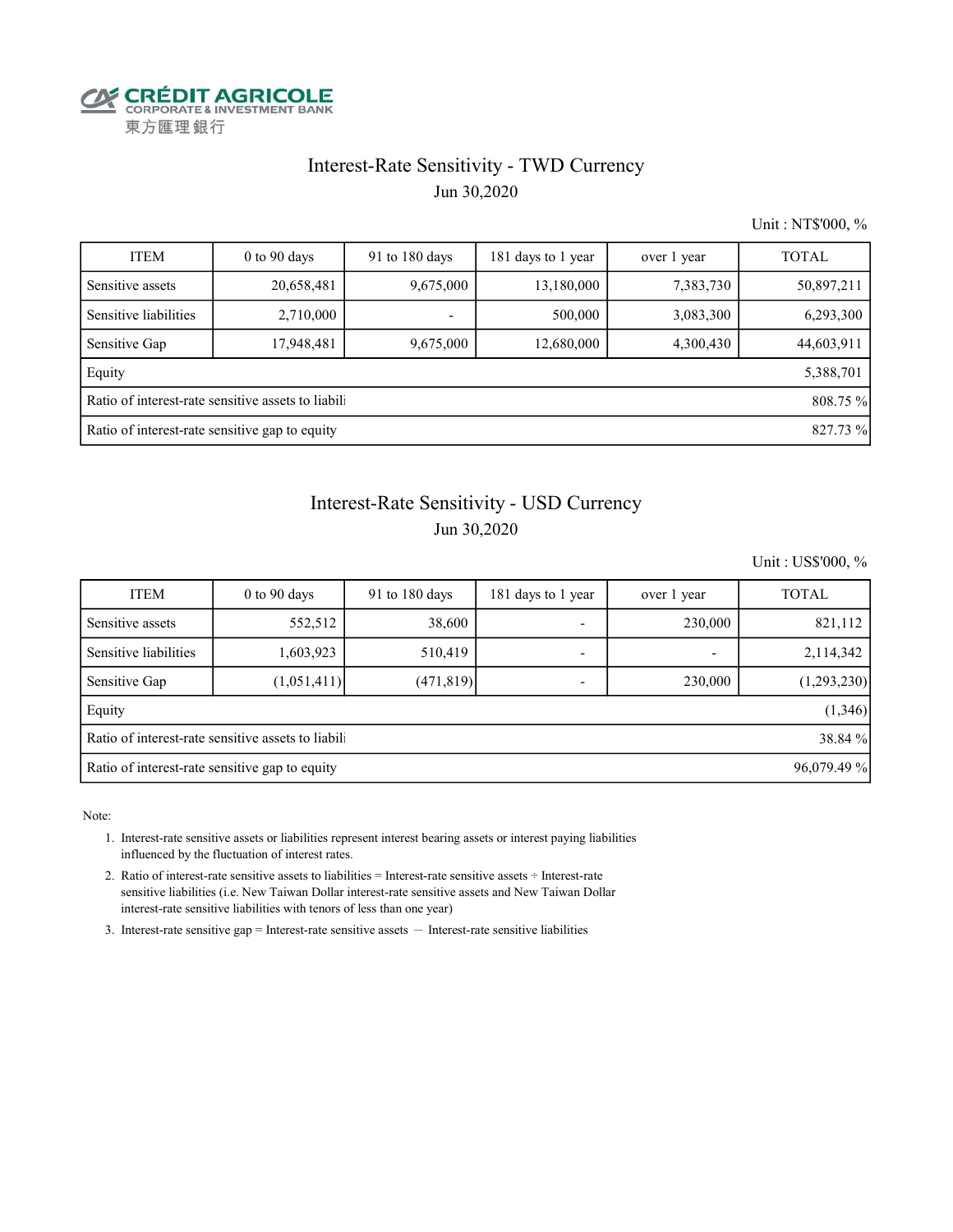

# Interest-Rate Sensitivity - TWD Currency

Jun 30,2020

Unit : NT\$'000, %

| <b>ITEM</b>                                                    | $0$ to 90 days | 91 to 180 days | 181 days to 1 year | over 1 year | <b>TOTAL</b> |  |  |  |
|----------------------------------------------------------------|----------------|----------------|--------------------|-------------|--------------|--|--|--|
| Sensitive assets                                               | 20,658,481     | 9,675,000      | 13,180,000         | 7,383,730   | 50,897,211   |  |  |  |
| Sensitive liabilities                                          | 2,710,000      |                | 500,000            | 3,083,300   | 6,293,300    |  |  |  |
| Sensitive Gap                                                  | 17,948,481     | 9,675,000      | 12,680,000         | 4,300,430   | 44,603,911   |  |  |  |
| Equity                                                         |                |                |                    |             | 5,388,701    |  |  |  |
| Ratio of interest-rate sensitive assets to liabili<br>808.75 % |                |                |                    |             |              |  |  |  |
| Ratio of interest-rate sensitive gap to equity<br>827.73 %     |                |                |                    |             |              |  |  |  |

# Interest-Rate Sensitivity - USD Currency

### Jun 30,2020

Unit : US\$'000, %

| <b>ITEM</b>                                                   | $0$ to $90$ days | 91 to 180 days | 181 days to 1 year       | over 1 year | <b>TOTAL</b> |  |  |
|---------------------------------------------------------------|------------------|----------------|--------------------------|-------------|--------------|--|--|
| Sensitive assets                                              | 552,512          | 38,600         | ۰                        | 230,000     | 821,112      |  |  |
| Sensitive liabilities                                         | 1,603,923        | 510,419        | ۰                        |             | 2,114,342    |  |  |
| Sensitive Gap                                                 | (1,051,411)      | (471, 819)     | $\overline{\phantom{0}}$ | 230,000     | (1,293,230)  |  |  |
| Equity                                                        |                  |                |                          |             | (1,346)      |  |  |
| Ratio of interest-rate sensitive assets to liabil<br>38.84 %  |                  |                |                          |             |              |  |  |
| Ratio of interest-rate sensitive gap to equity<br>96,079.49 % |                  |                |                          |             |              |  |  |

Note:

 1. Interest-rate sensitive assets or liabilities represent interest bearing assets or interest paying liabilities influenced by the fluctuation of interest rates.

 2. Ratio of interest-rate sensitive assets to liabilities = Interest-rate sensitive assets ÷ Interest-rate sensitive liabilities (i.e. New Taiwan Dollar interest-rate sensitive assets and New Taiwan Dollar interest-rate sensitive liabilities with tenors of less than one year)

3. Interest-rate sensitive gap = Interest-rate sensitive assets  $-$  Interest-rate sensitive liabilities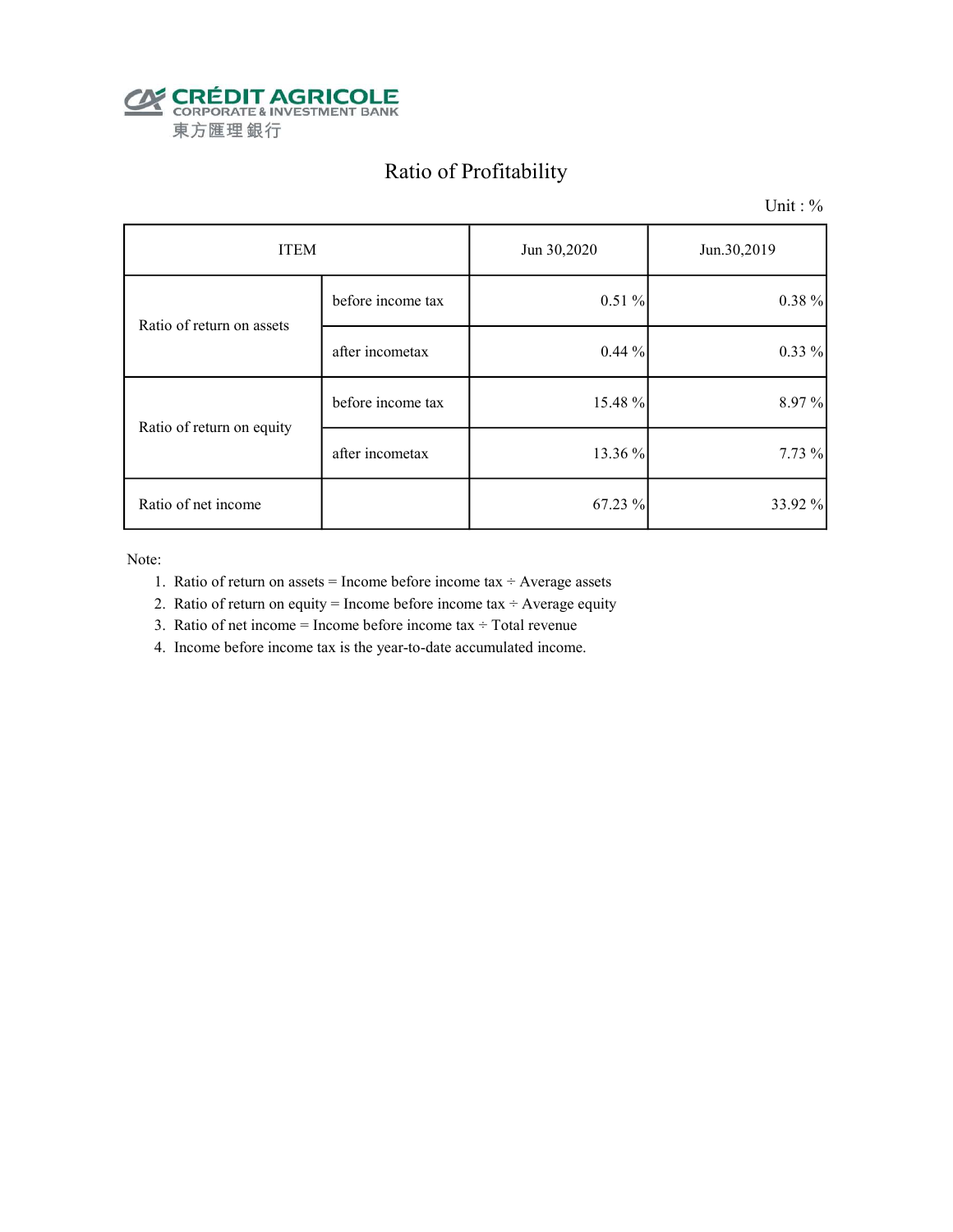

# Ratio of Profitability

Unit : %

| <b>ITEM</b>               |                   | Jun 30,2020 | Jun.30,2019 |
|---------------------------|-------------------|-------------|-------------|
| Ratio of return on assets | before income tax | 0.51%       | 0.38 %      |
|                           | after incometax   | $0.44\%$    | $0.33\%$    |
| Ratio of return on equity | before income tax | 15.48 %     | 8.97%       |
|                           | after incometax   | 13.36 %     | 7.73 %      |
| Ratio of net income       |                   | 67.23 %     | 33.92 %     |

Note:

- 1. Ratio of return on assets = Income before income tax  $\div$  Average assets
- 2. Ratio of return on equity = Income before income tax  $\div$  Average equity
- 3. Ratio of net income = Income before income tax  $\div$  Total revenue
- 4. Income before income tax is the year-to-date accumulated income.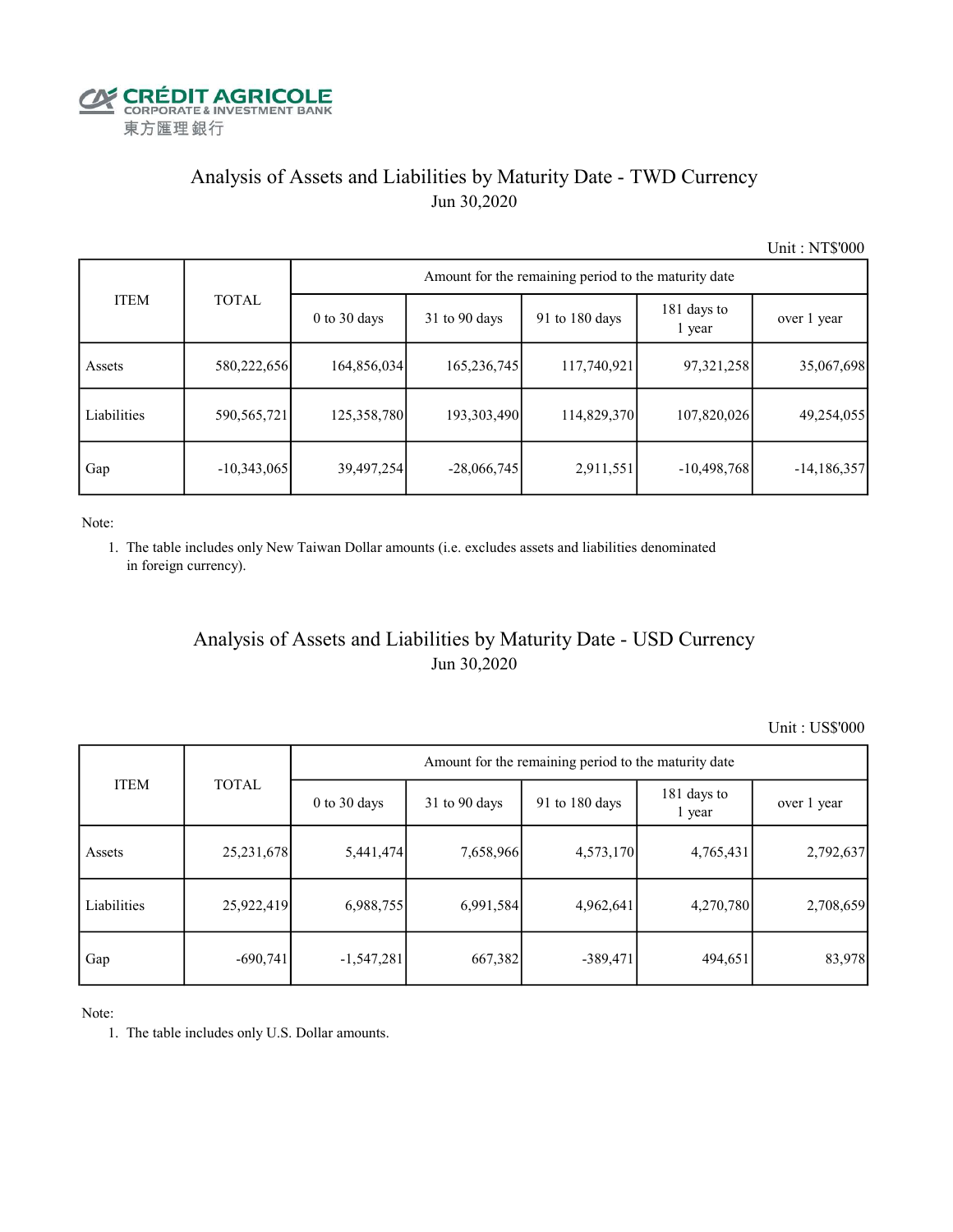

# Analysis of Assets and Liabilities by Maturity Date - TWD Currency Jun 30,2020

Unit : NT\$'000

|             |               |                  | Amount for the remaining period to the maturity date |                |                       |               |  |  |  |  |  |
|-------------|---------------|------------------|------------------------------------------------------|----------------|-----------------------|---------------|--|--|--|--|--|
| <b>ITEM</b> | <b>TOTAL</b>  | $0$ to $30$ days | $31$ to 90 days                                      | 91 to 180 days | 181 days to<br>1 year | over 1 year   |  |  |  |  |  |
| Assets      | 580,222,656   | 164,856,034      | 165,236,745                                          | 117,740,921    | 97,321,258            | 35,067,698    |  |  |  |  |  |
| Liabilities | 590, 565, 721 | 125,358,780      | 193,303,490                                          | 114,829,370    | 107,820,026           | 49,254,055    |  |  |  |  |  |
| Gap         | $-10,343,065$ | 39,497,254       | $-28,066,745$                                        | 2,911,551      | $-10,498,768$         | $-14,186,357$ |  |  |  |  |  |

Note:

 1. The table includes only New Taiwan Dollar amounts (i.e. excludes assets and liabilities denominated in foreign currency).

### Analysis of Assets and Liabilities by Maturity Date - USD Currency Jun 30,2020

Unit : US\$'000

|             | <b>TOTAL</b> | Amount for the remaining period to the maturity date |                 |                          |                       |             |  |  |
|-------------|--------------|------------------------------------------------------|-----------------|--------------------------|-----------------------|-------------|--|--|
| <b>ITEM</b> |              | $0$ to $30$ days                                     | $31$ to 90 days | 91 to $180 \text{ days}$ | 181 days to<br>1 year | over 1 year |  |  |
| Assets      | 25, 231, 678 | 5,441,474                                            | 7,658,966       | 4,573,170                | 4,765,431             | 2,792,637   |  |  |
| Liabilities | 25,922,419   | 6,988,755                                            | 6,991,584       | 4,962,641                | 4,270,780             | 2,708,659   |  |  |
| Gap         | $-690,741$   | $-1,547,281$                                         | 667,382         | $-389,471$               | 494,651               | 83,978      |  |  |

Note:

1. The table includes only U.S. Dollar amounts.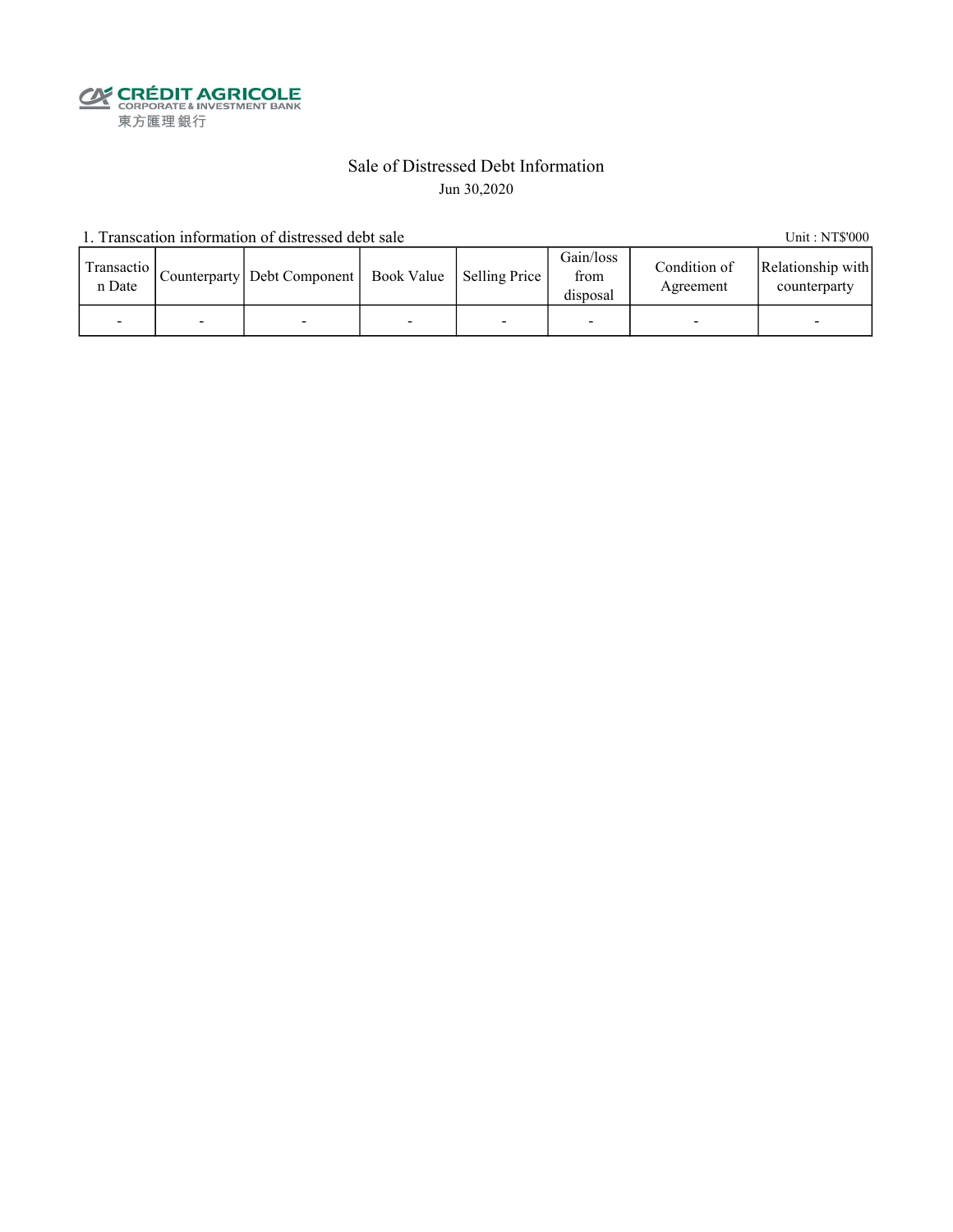**CALEDIT AGRICOLE**<br>
CORPORATE & INVESTMENT BANK<br>
東方匯理銀行

### Sale of Distressed Debt Information Jun 30,2020

1. Transcation information of distressed debt sale Unit: NT\$'000

| Transactio<br>n Date |   | Counterparty   Debt Component   Book Value   Selling Price |   | Gain/loss<br>from<br>disposal | Condition of<br>Agreement | Relationship with<br>counterparty |
|----------------------|---|------------------------------------------------------------|---|-------------------------------|---------------------------|-----------------------------------|
|                      | - |                                                            | - |                               |                           | -                                 |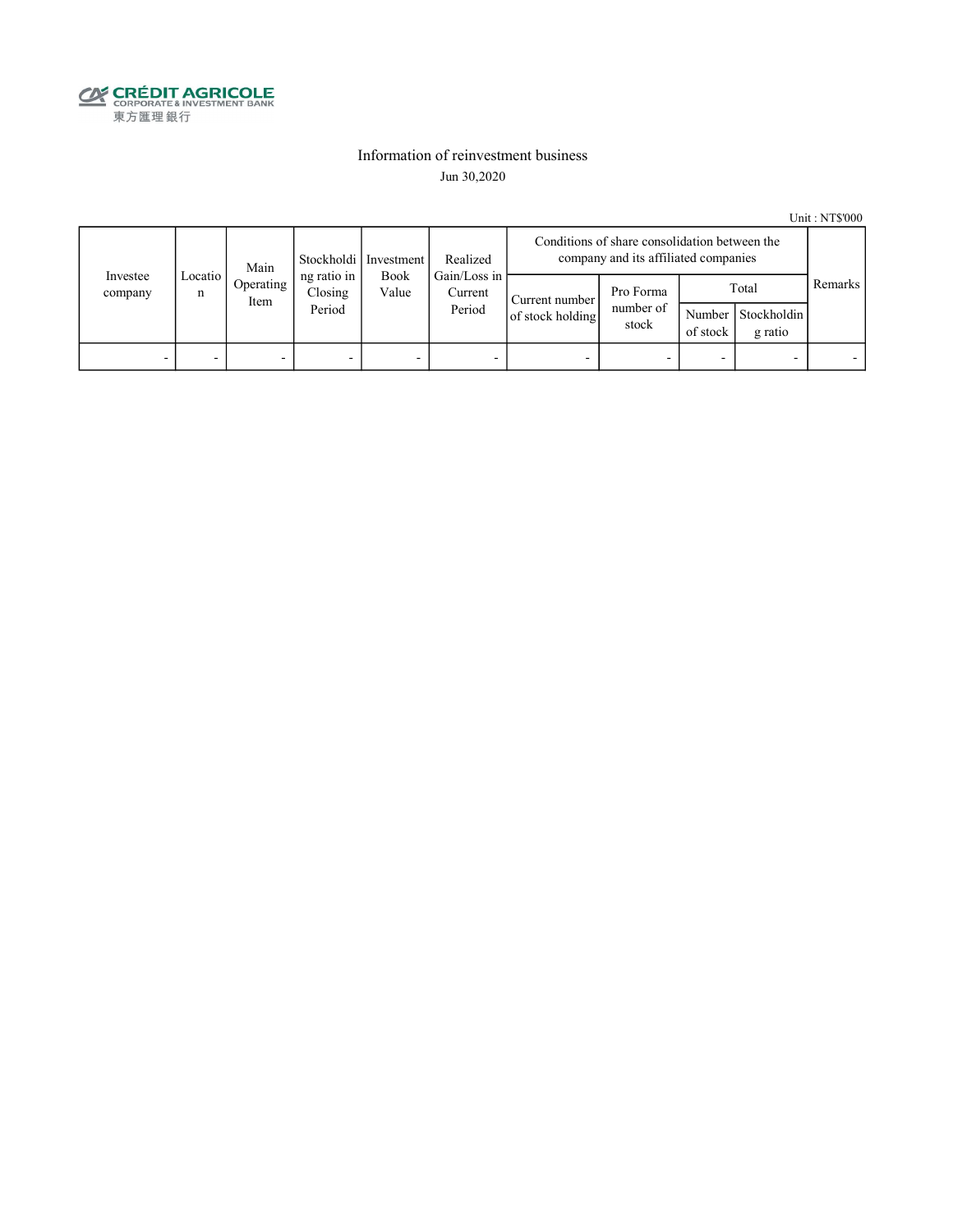

### Information of reinvestment business Jun 30,2020

Unit : NT\$'000

|                          | Main         |                   | Realized<br>Stockholdi   Investment |               | Conditions of share consolidation between the<br>company and its affiliated companies |                                    |                                 |                    |                                 |         |
|--------------------------|--------------|-------------------|-------------------------------------|---------------|---------------------------------------------------------------------------------------|------------------------------------|---------------------------------|--------------------|---------------------------------|---------|
| Investee<br>company      | Locatio<br>n | Operating<br>Item | ng ratio in<br>Closing<br>Period    | Book<br>Value | Gain/Loss in<br>Current<br>Period                                                     | Current number<br>of stock holding | Pro Forma<br>number of<br>stock | Number<br>of stock | Total<br>Stockholdin<br>g ratio | Remarks |
| $\overline{\phantom{0}}$ |              | -                 |                                     | -             | -                                                                                     |                                    |                                 |                    |                                 |         |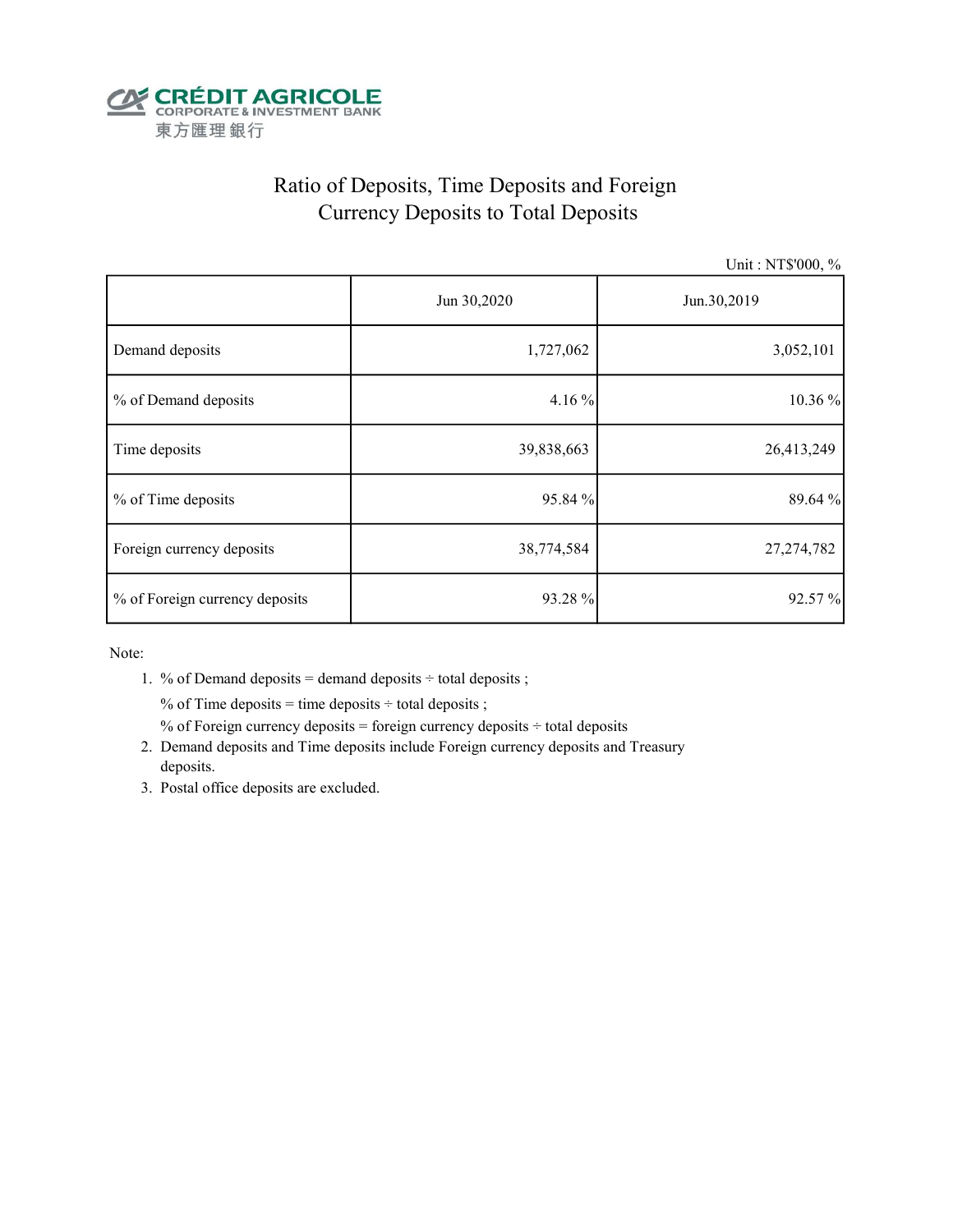

# Ratio of Deposits, Time Deposits and Foreign Currency Deposits to Total Deposits

Unit : NT\$'000, %

|                                | Jun 30,2020 | Jun.30,2019  |  |  |
|--------------------------------|-------------|--------------|--|--|
| Demand deposits                | 1,727,062   | 3,052,101    |  |  |
| % of Demand deposits           | 4.16 %      | 10.36 %      |  |  |
| Time deposits                  | 39,838,663  | 26,413,249   |  |  |
| % of Time deposits             | 95.84 %     | 89.64 %      |  |  |
| Foreign currency deposits      | 38,774,584  | 27, 274, 782 |  |  |
| % of Foreign currency deposits | 93.28 %     | 92.57%       |  |  |

Note:

1. % of Demand deposits = demand deposits  $\div$  total deposits ;

% of Time deposits = time deposits  $\div$  total deposits ;

% of Foreign currency deposits = foreign currency deposits  $\div$  total deposits

- 2. Demand deposits and Time deposits include Foreign currency deposits and Treasury deposits.
- 3. Postal office deposits are excluded.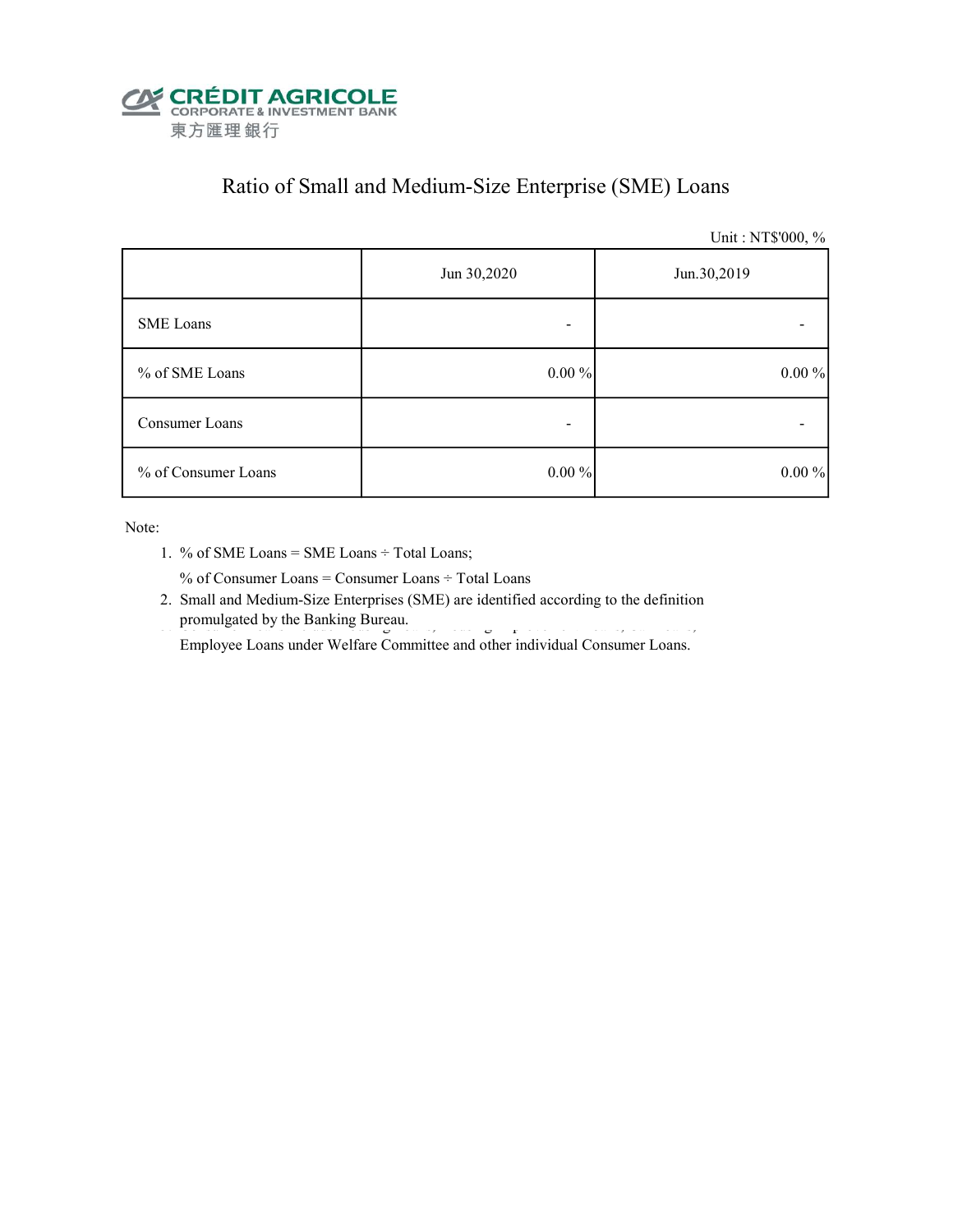

# Ratio of Small and Medium-Size Enterprise (SME) Loans

Unit : NT\$'000, %

|                     | Jun 30,2020 | Jun.30,2019 |  |  |
|---------------------|-------------|-------------|--|--|
| <b>SME</b> Loans    |             |             |  |  |
| % of SME Loans      | $0.00\%$    | $0.00\%$    |  |  |
| Consumer Loans      |             |             |  |  |
| % of Consumer Loans | $0.00 \%$   | $0.00 \%$   |  |  |

Note:

1. % of SME Loans = SME Loans ÷ Total Loans;

% of Consumer Loans = Consumer Loans ÷ Total Loans

 2. Small and Medium-Size Enterprises (SME) are identified according to the definition promulgated by the Banking Bureau.

Employee Loans under Welfare Committee and other individual Consumer Loans.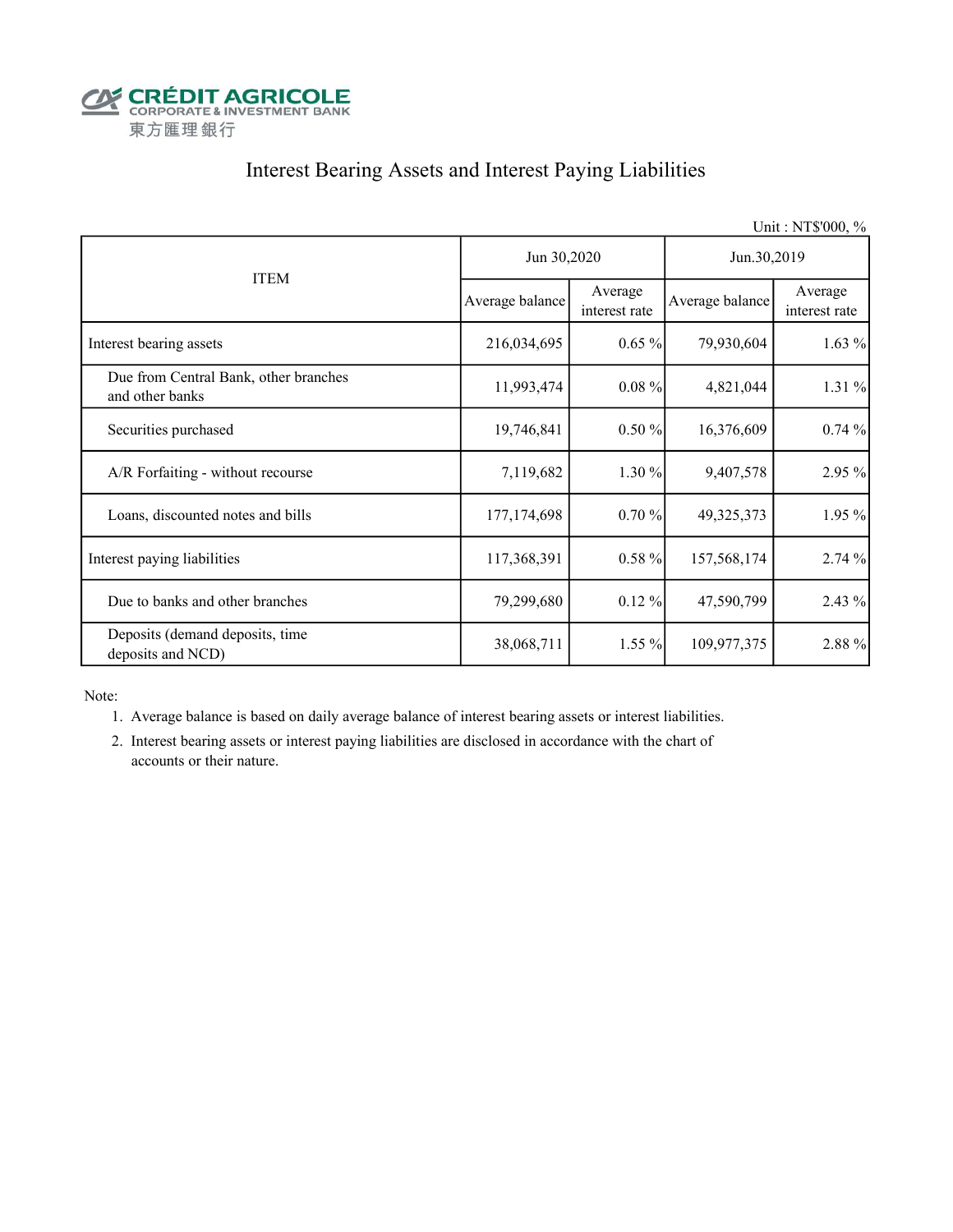

# Interest Bearing Assets and Interest Paying Liabilities

|                                                          |                 |                          |                 | Unit: NT\$'000, %        |  |
|----------------------------------------------------------|-----------------|--------------------------|-----------------|--------------------------|--|
|                                                          | Jun 30,2020     |                          | Jun.30,2019     |                          |  |
| <b>ITEM</b>                                              | Average balance | Average<br>interest rate | Average balance | Average<br>interest rate |  |
| Interest bearing assets                                  | 216,034,695     | $0.65\%$                 | 79,930,604      | $1.63\%$                 |  |
| Due from Central Bank, other branches<br>and other banks | 11,993,474      | $0.08\%$                 | 4,821,044       | 1.31 %                   |  |
| Securities purchased                                     | 19,746,841      | 0.50%                    | 16,376,609      | 0.74%                    |  |
| A/R Forfaiting - without recourse                        | 7,119,682       | 1.30 %                   | 9,407,578       | 2.95 %                   |  |
| Loans, discounted notes and bills                        | 177, 174, 698   | 0.70%                    | 49,325,373      | 1.95 %                   |  |
| Interest paying liabilities                              | 117,368,391     | $0.58 \%$                | 157,568,174     | 2.74 %                   |  |
| Due to banks and other branches                          | 79,299,680      | $0.12 \%$                | 47,590,799      | 2.43 %                   |  |
| Deposits (demand deposits, time<br>deposits and NCD)     | 38,068,711      | 1.55 %                   | 109,977,375     | 2.88 %                   |  |

Note:

- 1. Average balance is based on daily average balance of interest bearing assets or interest liabilities.
- 2. Interest bearing assets or interest paying liabilities are disclosed in accordance with the chart of accounts or their nature.